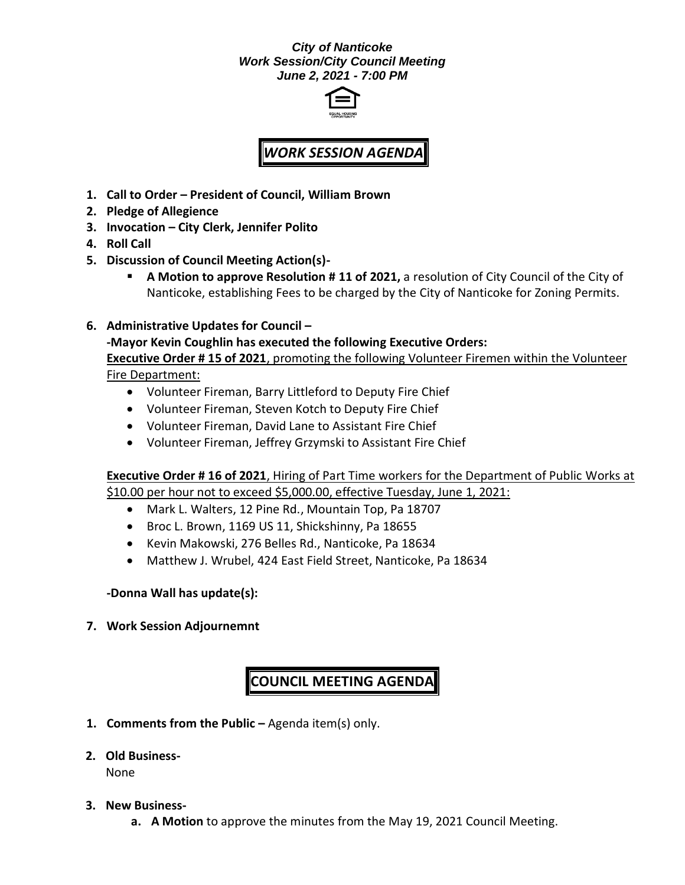## *City of Nanticoke Work Session/City Council Meeting June 2, 2021 - 7:00 PM*



## *WORK SESSION AGENDA*

- **1. Call to Order – President of Council, William Brown**
- **2. Pledge of Allegience**
- **3. Invocation – City Clerk, Jennifer Polito**
- **4. Roll Call**
- **5. Discussion of Council Meeting Action(s)-**
	- **A Motion to approve Resolution # 11 of 2021, a resolution of City Council of the City of** Nanticoke, establishing Fees to be charged by the City of Nanticoke for Zoning Permits.
- **6. Administrative Updates for Council –**

**-Mayor Kevin Coughlin has executed the following Executive Orders: Executive Order # 15 of 2021**, promoting the following Volunteer Firemen within the Volunteer Fire Department:

- Volunteer Fireman, Barry Littleford to Deputy Fire Chief
- Volunteer Fireman, Steven Kotch to Deputy Fire Chief
- Volunteer Fireman, David Lane to Assistant Fire Chief
- Volunteer Fireman, Jeffrey Grzymski to Assistant Fire Chief

**Executive Order # 16 of 2021**, Hiring of Part Time workers for the Department of Public Works at \$10.00 per hour not to exceed \$5,000.00, effective Tuesday, June 1, 2021:

- Mark L. Walters, 12 Pine Rd., Mountain Top, Pa 18707
- Broc L. Brown, 1169 US 11, Shickshinny, Pa 18655
- Kevin Makowski, 276 Belles Rd., Nanticoke, Pa 18634
- Matthew J. Wrubel, 424 East Field Street, Nanticoke, Pa 18634

**-Donna Wall has update(s):**

**7. Work Session Adjournemnt**

## **COUNCIL MEETING AGENDA**

- **1. Comments from the Public –** Agenda item(s) only.
- **2. Old Business-**

None

- **3. New Business**
	- **a. A Motion** to approve the minutes from the May 19, 2021 Council Meeting.